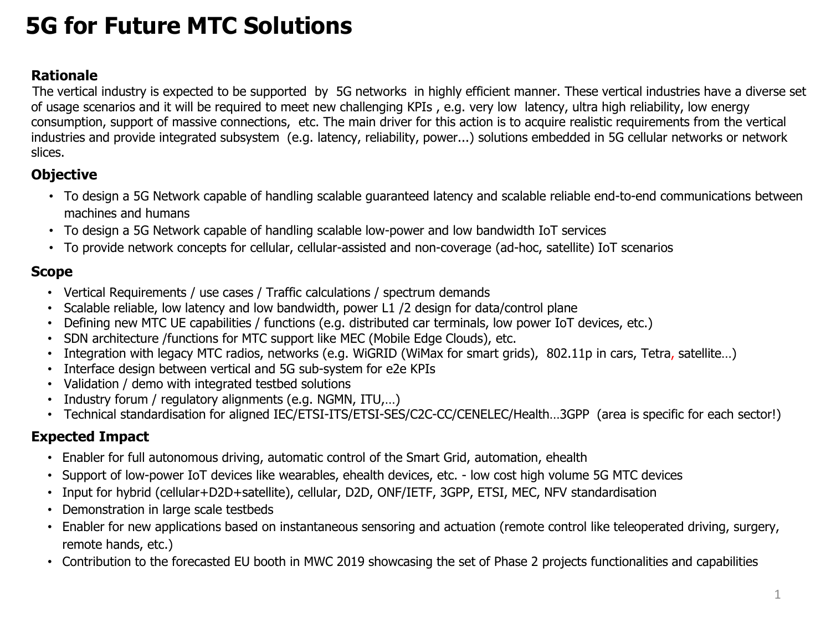## **5G for Future MTC Solutions**

#### **Rationale**

The vertical industry is expected to be supported by 5G networks in highly efficient manner. These vertical industries have a diverse set of usage scenarios and it will be required to meet new challenging KPIs , e.g. very low latency, ultra high reliability, low energy consumption, support of massive connections, etc. The main driver for this action is to acquire realistic requirements from the vertical industries and provide integrated subsystem (e.g. latency, reliability, power...) solutions embedded in 5G cellular networks or network slices.

#### **Objective**

- To design a 5G Network capable of handling scalable guaranteed latency and scalable reliable end-to-end communications between machines and humans
- To design a 5G Network capable of handling scalable low-power and low bandwidth IoT services
- To provide network concepts for cellular, cellular-assisted and non-coverage (ad-hoc, satellite) IoT scenarios

#### **Scope**

- Vertical Requirements / use cases / Traffic calculations / spectrum demands
- Scalable reliable, low latency and low bandwidth, power L1 /2 design for data/control plane
- Defining new MTC UE capabilities / functions (e.g. distributed car terminals, low power IoT devices, etc.)
- SDN architecture /functions for MTC support like MEC (Mobile Edge Clouds), etc.
- Integration with legacy MTC radios, networks (e.g. WiGRID (WiMax for smart grids), 802.11p in cars, Tetra, satellite…)
- Interface design between vertical and 5G sub-system for e2e KPIs
- Validation / demo with integrated testbed solutions
- Industry forum / regulatory alignments (e.g. NGMN, ITU,...)
- Technical standardisation for aligned IEC/ETSI-ITS/ETSI-SES/C2C-CC/CENELEC/Health...3GPP (area is specific for each sector!)

#### **Expected Impact**

- Enabler for full autonomous driving, automatic control of the Smart Grid, automation, ehealth
- Support of low-power IoT devices like wearables, ehealth devices, etc. low cost high volume 5G MTC devices
- Input for hybrid (cellular+D2D+satellite), cellular, D2D, ONF/IETF, 3GPP, ETSI, MEC, NFV standardisation
- Demonstration in large scale testbeds
- Enabler for new applications based on instantaneous sensoring and actuation (remote control like teleoperated driving, surgery, remote hands, etc.)
- Contribution to the forecasted EU booth in MWC 2019 showcasing the set of Phase 2 projects functionalities and capabilities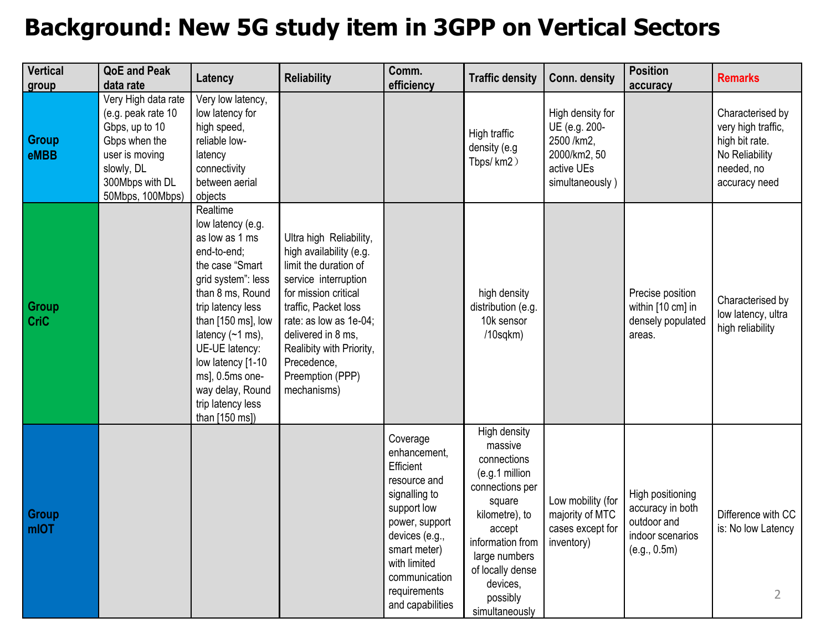### **Background: New 5G study item in 3GPP on Vertical Sectors**

| <b>Vertical</b><br>group | <b>QoE and Peak</b><br>data rate                                                                                                                    | Latency                                                                                                                                                                                                                                                                                                                    | <b>Reliability</b>                                                                                                                                                                                                                                                                | Comm.<br>efficiency                                                                                                                                                                                            | <b>Traffic density</b>                                                                                                                                                                                               | Conn. density                                                                                    | <b>Position</b><br>accuracy                                                             | <b>Remarks</b>                                                                                            |
|--------------------------|-----------------------------------------------------------------------------------------------------------------------------------------------------|----------------------------------------------------------------------------------------------------------------------------------------------------------------------------------------------------------------------------------------------------------------------------------------------------------------------------|-----------------------------------------------------------------------------------------------------------------------------------------------------------------------------------------------------------------------------------------------------------------------------------|----------------------------------------------------------------------------------------------------------------------------------------------------------------------------------------------------------------|----------------------------------------------------------------------------------------------------------------------------------------------------------------------------------------------------------------------|--------------------------------------------------------------------------------------------------|-----------------------------------------------------------------------------------------|-----------------------------------------------------------------------------------------------------------|
| <b>Group</b><br>eMBB     | Very High data rate<br>(e.g. peak rate 10<br>Gbps, up to 10<br>Gbps when the<br>user is moving<br>slowly, DL<br>300Mbps with DL<br>50Mbps, 100Mbps) | Very low latency,<br>low latency for<br>high speed,<br>reliable low-<br>latency<br>connectivity<br>between aerial<br>objects                                                                                                                                                                                               |                                                                                                                                                                                                                                                                                   |                                                                                                                                                                                                                | High traffic<br>density (e.g<br>Tbps/km2)                                                                                                                                                                            | High density for<br>UE (e.g. 200-<br>2500 /km2,<br>2000/km2, 50<br>active UEs<br>simultaneously) |                                                                                         | Characterised by<br>very high traffic,<br>high bit rate.<br>No Reliability<br>needed, no<br>accuracy need |
| Group<br><b>CriC</b>     |                                                                                                                                                     | Realtime<br>low latency (e.g.<br>as low as 1 ms<br>end-to-end;<br>the case "Smart<br>grid system": less<br>than 8 ms, Round<br>trip latency less<br>than [150 ms], low<br>latency $(-1 \text{ ms})$ ,<br>UE-UE latency:<br>low latency [1-10<br>ms], 0.5ms one-<br>way delay, Round<br>trip latency less<br>than [150 ms]) | Ultra high Reliability,<br>high availability (e.g.<br>limit the duration of<br>service interruption<br>for mission critical<br>traffic, Packet loss<br>rate: as low as 1e-04;<br>delivered in 8 ms.<br>Realibity with Priority,<br>Precedence,<br>Preemption (PPP)<br>mechanisms) |                                                                                                                                                                                                                | high density<br>distribution (e.g.<br>10k sensor<br>$/10$ sqkm $)$                                                                                                                                                   |                                                                                                  | Precise position<br>within [10 cm] in<br>densely populated<br>areas.                    | Characterised by<br>low latency, ultra<br>high reliability                                                |
| Group<br>mIOT            |                                                                                                                                                     |                                                                                                                                                                                                                                                                                                                            |                                                                                                                                                                                                                                                                                   | Coverage<br>enhancement,<br>Efficient<br>resource and<br>signalling to<br>support low<br>power, support<br>devices (e.g.,<br>smart meter)<br>with limited<br>communication<br>requirements<br>and capabilities | High density<br>massive<br>connections<br>(e.g.1 million<br>connections per<br>square<br>kilometre), to<br>accept<br>information from<br>large numbers<br>of locally dense<br>devices,<br>possibly<br>simultaneously | Low mobility (for<br>majority of MTC<br>cases except for<br>inventory)                           | High positioning<br>accuracy in both<br>outdoor and<br>indoor scenarios<br>(e.g., 0.5m) | Difference with CC<br>is: No low Latency<br>$\overline{2}$                                                |